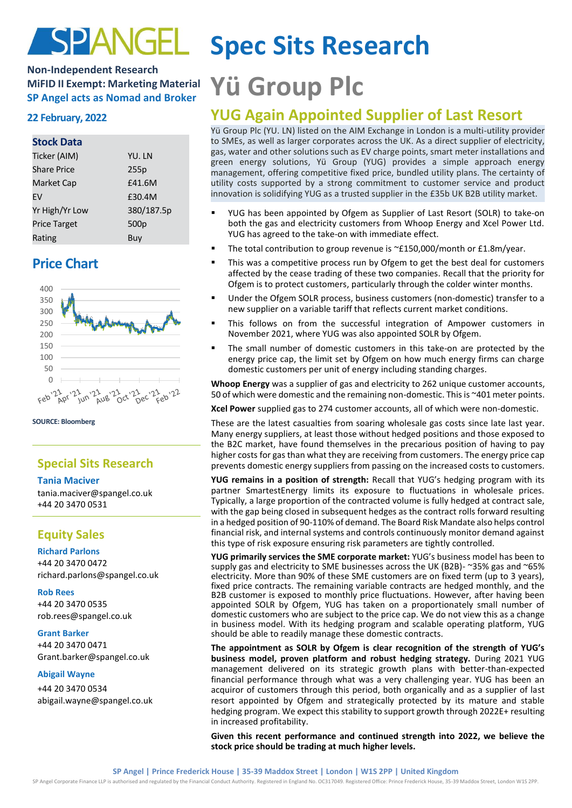# SPANGEL

## **Non-Independent Research MiFID II Exempt: Marketing Material MiFID II Exempt: Marketing Material Yü Group PIC**

### **Stock Data**

| Ticker (AIM)        | YU. LN           |
|---------------------|------------------|
| <b>Share Price</b>  | 255p             |
| Market Cap          | £41.6M           |
| FV                  | £30.4M           |
| Yr High/Yr Low      | 380/187.5p       |
| <b>Price Target</b> | 500 <sub>p</sub> |
| Rating              | Buy              |

# **Price Chart**



**SOURCE: Bloomberg**

# **Special Sits Research**

#### **Tania Maciver**

tania.maciver@spangel.co.uk +44 20 3470 0531

## **Equity Sales**

**Richard Parlons** +44 20 3470 0472 richard.parlons@spangel.co.uk

**Rob Rees** +44 20 3470 0535 [rob.rees@spangel.co.uk](mailto:rob.rees@spangel.co.uk)

#### **Grant Barker**

+44 20 3470 0471 Grant.barker@spangel.co.uk

#### **Abigail Wayne**

+44 20 3470 0534 abigail.wayne@spangel.co.uk

# **Spec Sits Research**

# **22 February, 2022 YUG Again Appointed Supplier of Last Resort**

Yü Group Plc (YU. LN) listed on the AIM Exchange in London is a multi-utility provider to SMEs, as well as larger corporates across the UK. As a direct supplier of electricity, gas, water and other solutions such as EV charge points, smart meter installations and green energy solutions, Yü Group (YUG) provides a simple approach energy management, offering competitive fixed price, bundled utility plans. The certainty of utility costs supported by a strong commitment to customer service and product innovation is solidifying YUG as a trusted supplier in the £35b UK B2B utility market.

- YUG has been appointed by Ofgem as Supplier of Last Resort (SOLR) to take-on both the gas and electricity customers from Whoop Energy and Xcel Power Ltd. YUG has agreed to the take-on with immediate effect.
- The total contribution to group revenue is  $\simeq$ £150,000/month or £1.8m/year.
- **.** This was a competitive process run by Ofgem to get the best deal for customers affected by the cease trading of these two companies. Recall that the priority for Ofgem is to protect customers, particularly through the colder winter months.
- Under the Ofgem SOLR process, business customers (non-domestic) transfer to a new supplier on a variable tariff that reflects current market conditions.
- This follows on from the successful integration of Ampower customers in November 2021, where YUG was also appointed SOLR by Ofgem.
- The small number of domestic customers in this take-on are protected by the energy price cap, the limit set by Ofgem on how much energy firms can charge domestic customers per unit of energy including standing charges.

**Whoop Energy** was a supplier of gas and electricity to 262 unique customer accounts, 50 of which were domestic and the remaining non-domestic. This is ~401 meter points.

**Xcel Power** supplied gas to 274 customer accounts, all of which were non-domestic.

These are the latest casualties from soaring wholesale gas costs since late last year. Many energy suppliers, at least those without hedged positions and those exposed to the B2C market, have found themselves in the precarious position of having to pay higher costs for gas than what they are receiving from customers. The energy price cap prevents domestic energy suppliers from passing on the increased costs to customers.

**YUG remains in a position of strength:** Recall that YUG's hedging program with its partner SmartestEnergy limits its exposure to fluctuations in wholesale prices. Typically, a large proportion of the contracted volume is fully hedged at contract sale, with the gap being closed in subsequent hedges as the contract rolls forward resulting in a hedged position of 90-110% of demand. The Board Risk Mandate also helps control financial risk, and internal systems and controls continuously monitor demand against this type of risk exposure ensuring risk parameters are tightly controlled.

**YUG primarily services the SME corporate market:** YUG's business model has been to supply gas and electricity to SME businesses across the UK (B2B)- ~35% gas and ~65% electricity. More than 90% of these SME customers are on fixed term (up to 3 years), fixed price contracts. The remaining variable contracts are hedged monthly, and the B2B customer is exposed to monthly price fluctuations. However, after having been appointed SOLR by Ofgem, YUG has taken on a proportionately small number of domestic customers who are subject to the price cap. We do not view this as a change in business model. With its hedging program and scalable operating platform, YUG should be able to readily manage these domestic contracts.

**The appointment as SOLR by Ofgem is clear recognition of the strength of YUG's business model, proven platform and robust hedging strategy.** During 2021 YUG management delivered on its strategic growth plans with better-than-expected financial performance through what was a very challenging year. YUG has been an acquiror of customers through this period, both organically and as a supplier of last resort appointed by Ofgem and strategically protected by its mature and stable hedging program. We expect this stability to support growth through 2022E+ resulting in increased profitability.

**Given this recent performance and continued strength into 2022, we believe the stock price should be trading at much higher levels.**

SP Angel Corporate Finance LLP is authorised and regulated by the Financial Conduct Authority. Registered in England No. OC317049. Registered Office: Prince Frederick House, 35-39 Maddox Street, London W1S 2PP.